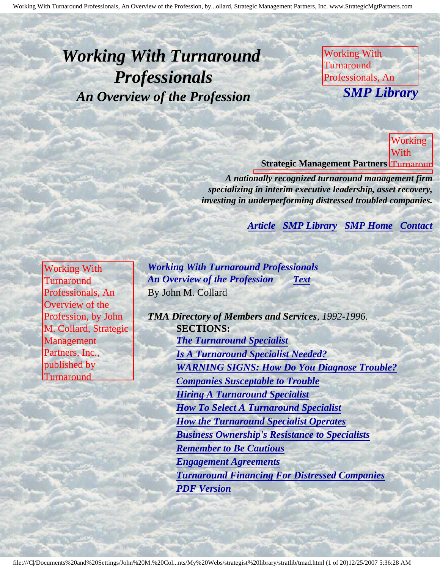# <span id="page-0-4"></span><span id="page-0-3"></span>*Working With Turnaround Professionals An Overview of the Profession*

Working With **Turnaround** Professionals, An **SMP Lil** *SMP Library*

Profession, by John M. Collard, Strategic Management Partners,

Inc., published by  $\overline{M}$ 

of the

by John

Collard, Strategic

Partners,

Management

M.

Turnaround **Strategic Management Partners Turnaroun** Working With

*A nationally recognized turnaround management firm* specializing in interim executive leadership, asset recovery, *investing in underperforming distressed troubled companies.* 

Profession, Partners, Inc., published by Turnaround Management Association *[Article](#page-0-0) [SMP Library](http://members.aol.com/stratlib3/libindx.html) [SMP Home](http://members.aol.com/strategist/home.html#TOP) [Contact](#page-18-0)*

<span id="page-0-2"></span><span id="page-0-0"></span>Working With **Turnaround** Professionals, An Overview of the Profession, by John M. Collard, Strategic Management Partners, Inc., published by **Turnaround** 

<span id="page-0-1"></span>Management Association

*Working With Turnaround Professionals An Overview of the Profession [Text](#page-0-1)* By John M. Collard

Inc., published by Turnaround of the second second the second second second second the second second second second second second **Management**  $\mathbf{Z}$ ssociation *TMA Directory of Members and Services, 1992-1996.* **SECTIONS:** *[The Turnaround Specialist](#page-0-1) [Is A Turnaround Specialist Needed?](#page-1-0) [WARNING SIGNS: How Do You Diagnose Trouble?](#page-2-0) [Companies Susceptable to Trouble](#page-5-0) [Hiring A Turnaround Specialist](#page-6-0) [How To Select A Turnaround Specialist](#page-7-0) [How the Turnaround Specialist Operates](#page-9-0) [Business Ownership's Resistance to Specialists](#page-11-0) [Remember to Be Cautious](#page-13-0) [Engagement Agreements](#page-14-0) [Turnaround Financing For Distressed Companies](#page-15-0) [PDF Version](http://members.aol.com/stratlib/tma-over.pdf)*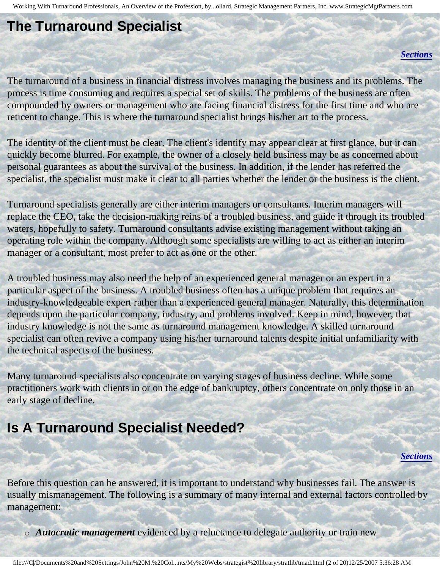### **The Turnaround Specialist**

#### *[Sections](#page-0-2)*

The turnaround of a business in financial distress involves managing the business and its problems. The process is time consuming and requires a special set of skills. The problems of the business are often compounded by owners or management who are facing financial distress for the first time and who are reticent to change. This is where the turnaround specialist brings his/her art to the process.

The identity of the client must be clear. The client's identify may appear clear at first glance, but it can quickly become blurred. For example, the owner of a closely held business may be as concerned about personal guarantees as about the survival of the business. In addition, if the lender has referred the specialist, the specialist must make it clear to all parties whether the lender or the business is the client.

Turnaround specialists generally are either interim managers or consultants. Interim managers will replace the CEO, take the decision-making reins of a troubled business, and guide it through its troubled waters, hopefully to safety. Turnaround consultants advise existing management without taking an operating role within the company. Although some specialists are willing to act as either an interim manager or a consultant, most prefer to act as one or the other.

A troubled business may also need the help of an experienced general manager or an expert in a particular aspect of the business. A troubled business often has a unique problem that requires an industry-knowledgeable expert rather than a experienced general manager. Naturally, this determination depends upon the particular company, industry, and problems involved. Keep in mind, however, that industry knowledge is not the same as turnaround management knowledge. A skilled turnaround specialist can often revive a company using his/her turnaround talents despite initial unfamiliarity with the technical aspects of the business.

Many turnaround specialists also concentrate on varying stages of business decline. While some practitioners work with clients in or on the edge of bankruptcy, others concentrate on only those in an early stage of decline.

## <span id="page-1-0"></span>**Is A Turnaround Specialist Needed?**

#### *[Sections](#page-0-2)*

Before this question can be answered, it is important to understand why businesses fail. The answer is usually mismanagement. The following is a summary of many internal and external factors controlled by management:

❍ *Autocratic management* evidenced by a reluctance to delegate authority or train new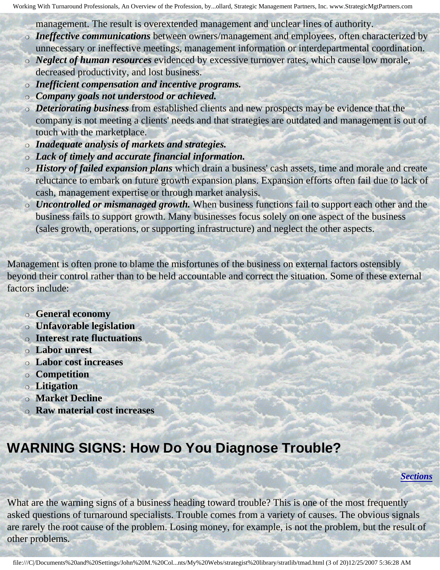management. The result is overextended management and unclear lines of authority.

- ❍ *Ineffective communications* between owners/management and employees, often characterized by
- unnecessary or ineffective meetings, management information or interdepartmental coordination. ❍ *Neglect of human resources* evidenced by excessive turnover rates, which cause low morale,
- decreased productivity, and lost business.
- ❍ *Inefficient compensation and incentive programs.*
- ❍ *Company goals not understood or achieved.*
- ❍ *Deteriorating business* from established clients and new prospects may be evidence that the company is not meeting a clients' needs and that strategies are outdated and management is out of touch with the marketplace.
- ❍ *Inadequate analysis of markets and strategies.*
- ❍ *Lack of timely and accurate financial information.*
- ❍ *History of failed expansion plans* which drain a business' cash assets, time and morale and create reluctance to embark on future growth expansion plans. Expansion efforts often fail due to lack of cash, management expertise or through market analysis.
- ❍ *Uncontrolled or mismanaged growth.* When business functions fail to support each other and the business fails to support growth. Many businesses focus solely on one aspect of the business (sales growth, operations, or supporting infrastructure) and neglect the other aspects.

Management is often prone to blame the misfortunes of the business on external factors ostensibly beyond their control rather than to be held accountable and correct the situation. Some of these external factors include:

- ❍ **General economy**
- ❍ **Unfavorable legislation**
- ❍ **Interest rate fluctuations**
- ❍ **Labor unrest**
- ❍ **Labor cost increases**
- ❍ **Competition**
- ❍ **Litigation**
- ❍ **Market Decline**
- ❍ **Raw material cost increases**

## <span id="page-2-0"></span>**WARNING SIGNS: How Do You Diagnose Trouble?**

*[Sections](#page-0-2)*

What are the warning signs of a business heading toward trouble? This is one of the most frequently asked questions of turnaround specialists. Trouble comes from a variety of causes. The obvious signals are rarely the root cause of the problem. Losing money, for example, is not the problem, but the result of other problems.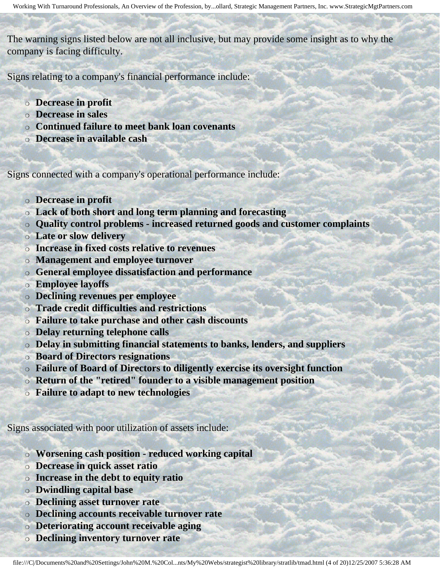The warning signs listed below are not all inclusive, but may provide some insight as to why the company is facing difficulty.

Signs relating to a company's financial performance include:

- ❍ **Decrease in profit**
- ❍ **Decrease in sales**
- ❍ **Continued failure to meet bank loan covenants**
- ❍ **Decrease in available cash**

Signs connected with a company's operational performance include:

- ❍ **Decrease in profit**
- ❍ **Lack of both short and long term planning and forecasting**
- ❍ **Quality control problems increased returned goods and customer complaints**
- ❍ **Late or slow delivery**
- ❍ **Increase in fixed costs relative to revenues**
- ❍ **Management and employee turnover**
- ❍ **General employee dissatisfaction and performance**
- ❍ **Employee layoffs**
- ❍ **Declining revenues per employee**
- ❍ **Trade credit difficulties and restrictions**
- ❍ **Failure to take purchase and other cash discounts**
- ❍ **Delay returning telephone calls**
- ❍ **Delay in submitting financial statements to banks, lenders, and suppliers**
- ❍ **Board of Directors resignations**
- ❍ **Failure of Board of Directors to diligently exercise its oversight function**
- ❍ **Return of the "retired" founder to a visible management position**
- ❍ **Failure to adapt to new technologies**

Signs associated with poor utilization of assets include:

- ❍ **Worsening cash position reduced working capital**
- ❍ **Decrease in quick asset ratio**
- ❍ **Increase in the debt to equity ratio**
- ❍ **Dwindling capital base**
- ❍ **Declining asset turnover rate**
- ❍ **Declining accounts receivable turnover rate**
- ❍ **Deteriorating account receivable aging**
- ❍ **Declining inventory turnover rate**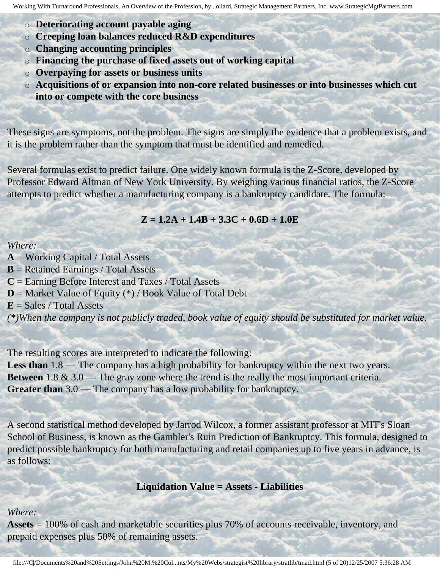- ❍ **Deteriorating account payable aging**
- ❍ **Creeping loan balances reduced R&D expenditures**
- ❍ **Changing accounting principles**
- ❍ **Financing the purchase of fixed assets out of working capital**
- ❍ **Overpaying for assets or business units**
- ❍ **Acquisitions of or expansion into non-core related businesses or into businesses which cut into or compete with the core business**

These signs are symptoms, not the problem. The signs are simply the evidence that a problem exists, and it is the problem rather than the symptom that must be identified and remedied.

Several formulas exist to predict failure. One widely known formula is the Z-Score, developed by Professor Edward Altman of New York University. By weighing various financial ratios, the Z-Score attempts to predict whether a manufacturing company is a bankruptcy candidate. The formula:

### **Z = 1.2A + 1.4B + 3.3C + 0.6D + 1.0E**

#### *Where:*

**A** = Working Capital / Total Assets

- **B** = Retained Earnings / Total Assets
- **C** = Earning Before Interest and Taxes / Total Assets
- $D =$  Market Value of Equity  $(*)$  / Book Value of Total Debt
- $E = Sales / Total Assets$

*(\*)When the company is not publicly traded, book value of equity should be substituted for market value.*

The resulting scores are interpreted to indicate the following:

Less than 1.8 — The company has a high probability for bankruptcy within the next two years. **Between** 1.8 & 3.0 — The gray zone where the trend is the really the most important criteria. **Greater than** 3.0 — The company has a low probability for bankruptcy.

A second statistical method developed by Jarrod Wilcox, a former assistant professor at MIT's Sloan School of Business, is known as the Gambler's Ruin Prediction of Bankruptcy. This formula, designed to predict possible bankruptcy for both manufacturing and retail companies up to five years in advance, is as follows:

**Liquidation Value = Assets - Liabilities**

#### *Where:*

**Assets** = 100% of cash and marketable securities plus 70% of accounts receivable, inventory, and prepaid expenses plus 50% of remaining assets.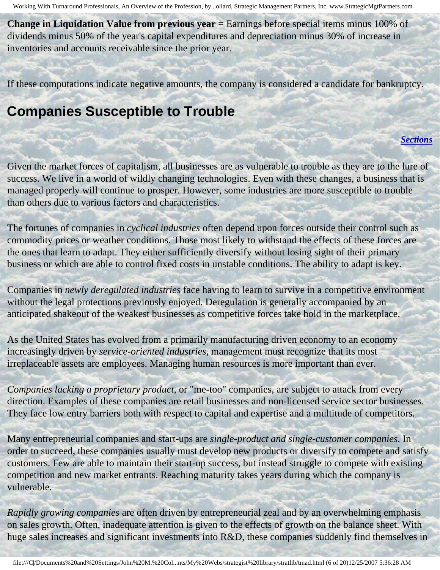**Change in Liquidation Value from previous year** = Earnings before special items minus 100% of dividends minus 50% of the year's capital expenditures and depreciation minus 30% of increase in inventories and accounts receivable since the prior year.

<span id="page-5-0"></span>If these computations indicate negative amounts, the company is considered a candidate for bankruptcy.

### **Companies Susceptible to Trouble**

#### *[Sections](#page-0-2)*

Given the market forces of capitalism, all businesses are as vulnerable to trouble as they are to the lure of success. We live in a world of wildly changing technologies. Even with these changes, a business that is managed properly will continue to prosper. However, some industries are more susceptible to trouble than others due to various factors and characteristics.

The fortunes of companies in *cyclical industries* often depend upon forces outside their control such as commodity prices or weather conditions. Those most likely to withstand the effects of these forces are the ones that learn to adapt. They either sufficiently diversify without losing sight of their primary business or which are able to control fixed costs in unstable conditions. The ability to adapt is key.

Companies in *newly deregulated industries* face having to learn to survive in a competitive environment without the legal protections previously enjoyed. Deregulation is generally accompanied by an anticipated shakeout of the weakest businesses as competitive forces take hold in the marketplace.

As the United States has evolved from a primarily manufacturing driven economy to an economy increasingly driven by *service-oriented industries,* management must recognize that its most irreplaceable assets are employees. Managing human resources is more important than ever.

*Companies lacking a proprietary product,* or "me-too" companies, are subject to attack from every direction. Examples of these companies are retail businesses and non-licensed service sector businesses. They face low entry barriers both with respect to capital and expertise and a multitude of competitors.

Many entrepreneurial companies and start-ups are *single-product and single-customer companies*. In order to succeed, these companies usually must develop new products or diversify to compete and satisfy customers. Few are able to maintain their start-up success, but instead struggle to compete with existing competition and new market entrants. Reaching maturity takes years during which the company is vulnerable.

*Rapidly growing companies* are often driven by entrepreneurial zeal and by an overwhelming emphasis on sales growth. Often, inadequate attention is given to the effects of growth on the balance sheet. With huge sales increases and significant investments into R&D, these companies suddenly find themselves in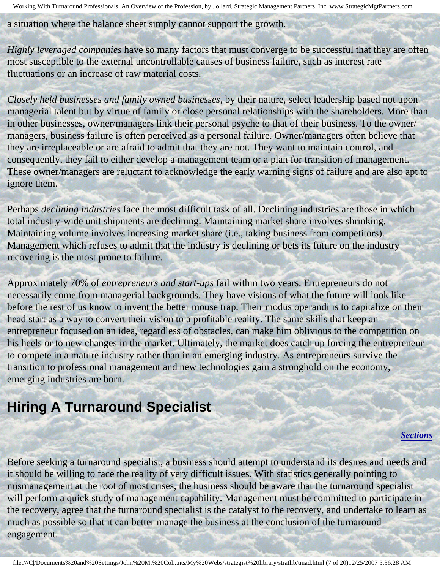a situation where the balance sheet simply cannot support the growth.

*Highly leveraged companies* have so many factors that must converge to be successful that they are often most susceptible to the external uncontrollable causes of business failure, such as interest rate fluctuations or an increase of raw material costs.

*Closely held businesses and family owned businesses,* by their nature, select leadership based not upon managerial talent but by virtue of family or close personal relationships with the shareholders. More than in other businesses, owner/managers link their personal psyche to that of their business. To the owner/ managers, business failure is often perceived as a personal failure. Owner/managers often believe that they are irreplaceable or are afraid to admit that they are not. They want to maintain control, and consequently, they fail to either develop a management team or a plan for transition of management. These owner/managers are reluctant to acknowledge the early warning signs of failure and are also apt to ignore them.

Perhaps *declining industries* face the most difficult task of all. Declining industries are those in which total industry-wide unit shipments are declining. Maintaining market share involves shrinking. Maintaining volume involves increasing market share (i.e., taking business from competitors). Management which refuses to admit that the industry is declining or bets its future on the industry recovering is the most prone to failure.

Approximately 70% of *entrepreneurs and start-ups* fail within two years. Entrepreneurs do not necessarily come from managerial backgrounds. They have visions of what the future will look like before the rest of us know to invent the better mouse trap. Their modus operandi is to capitalize on their head start as a way to convert their vision to a profitable reality. The same skills that keep an entrepreneur focused on an idea, regardless of obstacles, can make him oblivious to the competition on his heels or to new changes in the market. Ultimately, the market does catch up forcing the entrepreneur to compete in a mature industry rather than in an emerging industry. As entrepreneurs survive the transition to professional management and new technologies gain a stronghold on the economy, emerging industries are born.

## <span id="page-6-0"></span>**Hiring A Turnaround Specialist**

*[Sections](#page-0-2)*

Before seeking a turnaround specialist, a business should attempt to understand its desires and needs and it should be willing to face the reality of very difficult issues. With statistics generally pointing to mismanagement at the root of most crises, the business should be aware that the turnaround specialist will perform a quick study of management capability. Management must be committed to participate in the recovery, agree that the turnaround specialist is the catalyst to the recovery, and undertake to learn as much as possible so that it can better manage the business at the conclusion of the turnaround engagement.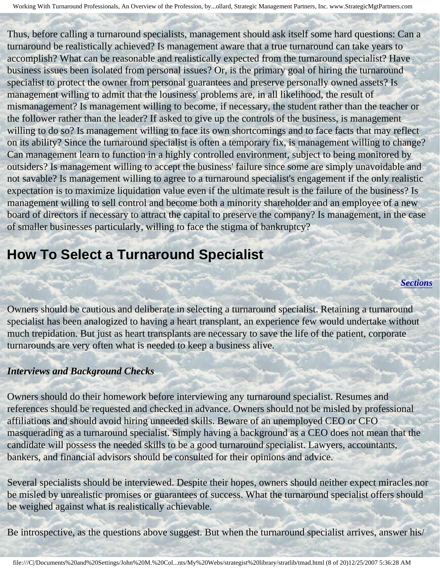Thus, before calling a turnaround specialists, management should ask itself some hard questions: Can a turnaround be realistically achieved? Is management aware that a true turnaround can take years to accomplish? What can be reasonable and realistically expected from the turnaround specialist? Have business issues been isolated from personal issues? Or, is the primary goal of hiring the turnaround specialist to protect the owner from personal guarantees and preserve personally owned assets? Is management willing to admit that the lousiness' problems are, in all likelihood, the result of mismanagement? Is management willing to become, if necessary, the student rather than the teacher or the follower rather than the leader? If asked to give up the controls of the business, is management willing to do so? Is management willing to face its own shortcomings and to face facts that may reflect on its ability? Since the turnaround specialist is often a temporary fix, is management willing to change? Can management learn to function in a highly controlled environment, subject to being monitored by outsiders? Is management willing to accept the business' failure since some are simply unavoidable and not savable? Is management willing to agree to a turnaround specialist's engagement if the only realistic expectation is to maximize liquidation value even if the ultimate result is the failure of the business? Is management willing to sell control and become both a minority shareholder and an employee of a new board of directors if necessary to attract the capital to preserve the company? Is management, in the case of smaller businesses particularly, willing to face the stigma of bankruptcy?

### <span id="page-7-0"></span>**How To Select a Turnaround Specialist**

*[Sections](#page-0-2)*

Owners should be cautious and deliberate in selecting a turnaround specialist. Retaining a turnaround specialist has been analogized to having a heart transplant, an experience few would undertake without much trepidation. But just as heart transplants are necessary to save the life of the patient, corporate turnarounds are very often what is needed to keep a business alive.

#### *Interviews and Background Checks*

Owners should do their homework before interviewing any turnaround specialist. Resumes and references should be requested and checked in advance. Owners should not be misled by professional affiliations and should avoid hiring unneeded skills. Beware of an unemployed CEO or CFO masquerading as a turnaround specialist. Simply having a background as a CEO does not mean that the candidate will possess the needed skills to be a good turnaround specialist. Lawyers, accountants, bankers, and financial advisors should be consulted for their opinions and advice.

Several specialists should be interviewed. Despite their hopes, owners should neither expect miracles nor be misled by unrealistic promises or guarantees of success. What the turnaround specialist offers should be weighed against what is realistically achievable.

Be introspective, as the questions above suggest. But when the turnaround specialist arrives, answer his/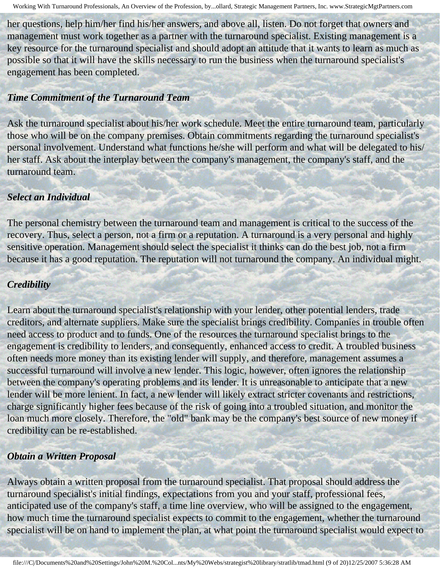her questions, help him/her find his/her answers, and above all, listen. Do not forget that owners and management must work together as a partner with the turnaround specialist. Existing management is a key resource for the turnaround specialist and should adopt an attitude that it wants to learn as much as possible so that it will have the skills necessary to run the business when the turnaround specialist's engagement has been completed.

#### *Time Commitment of the Turnaround Team*

Ask the turnaround specialist about his/her work schedule. Meet the entire turnaround team, particularly those who will be on the company premises. Obtain commitments regarding the turnaround specialist's personal involvement. Understand what functions he/she will perform and what will be delegated to his/ her staff. Ask about the interplay between the company's management, the company's staff, and the turnaround team.

### *Select an Individual*

The personal chemistry between the turnaround team and management is critical to the success of the recovery. Thus, select a person, not a firm or a reputation. A turnaround is a very personal and highly sensitive operation. Management should select the specialist it thinks can do the best job, not a firm because it has a good reputation. The reputation will not turnaround the company. An individual might.

### *Credibility*

Learn about the turnaround specialist's relationship with your lender, other potential lenders, trade creditors, and alternate suppliers. Make sure the specialist brings credibility. Companies in trouble often need access to product and to funds. One of the resources the turnaround specialist brings to the engagement is credibility to lenders, and consequently, enhanced access to credit. A troubled business often needs more money than its existing lender will supply, and therefore, management assumes a successful turnaround will involve a new lender. This logic, however, often ignores the relationship between the company's operating problems and its lender. It is unreasonable to anticipate that a new lender will be more lenient. In fact, a new lender will likely extract stricter covenants and restrictions, charge significantly higher fees because of the risk of going into a troubled situation, and monitor the loan much more closely. Therefore, the "old" bank may be the company's best source of new money if credibility can be re-established.

#### *Obtain a Written Proposal*

Always obtain a written proposal from the turnaround specialist. That proposal should address the turnaround specialist's initial findings, expectations from you and your staff, professional fees, anticipated use of the company's staff, a time line overview, who will be assigned to the engagement, how much time the turnaround specialist expects to commit to the engagement, whether the turnaround specialist will be on hand to implement the plan, at what point the turnaround specialist would expect to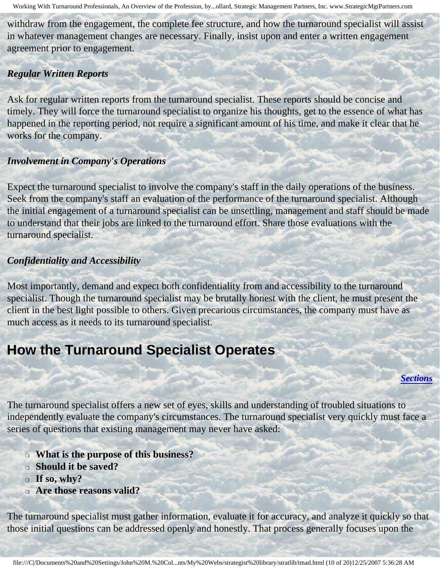withdraw from the engagement, the complete fee structure, and how the turnaround specialist will assist in whatever management changes are necessary. Finally, insist upon and enter a written engagement agreement prior to engagement.

### *Regular Written Reports*

Ask for regular written reports from the turnaround specialist. These reports should be concise and timely. They will force the turnaround specialist to organize his thoughts, get to the essence of what has happened in the reporting period, not require a significant amount of his time, and make it clear that he works for the company.

### *Involvement in Company's Operations*

Expect the turnaround specialist to involve the company's staff in the daily operations of the business. Seek from the company's staff an evaluation of the performance of the turnaround specialist. Although the initial engagement of a turnaround specialist can be unsettling, management and staff should be made to understand that their jobs are linked to the turnaround effort. Share those evaluations with the turnaround specialist.

### *Confidentiality and Accessibility*

Most importantly, demand and expect both confidentiality from and accessibility to the turnaround specialist. Though the turnaround specialist may be brutally honest with the client, he must present the client in the best light possible to others. Given precarious circumstances, the company must have as much access as it needs to its turnaround specialist.

## <span id="page-9-0"></span>**How the Turnaround Specialist Operates**

*[Sections](#page-0-2)*

The turnaround specialist offers a new set of eyes, skills and understanding of troubled situations to independently evaluate the company's circumstances. The turnaround specialist very quickly must face a series of questions that existing management may never have asked:

- ❍ **What is the purpose of this business?**
- ❍ **Should it be saved?**
- ❍ **If so, why?**
- ❍ **Are those reasons valid?**

The turnaround specialist must gather information, evaluate it for accuracy, and analyze it quickly so that those initial questions can be addressed openly and honestly. That process generally focuses upon the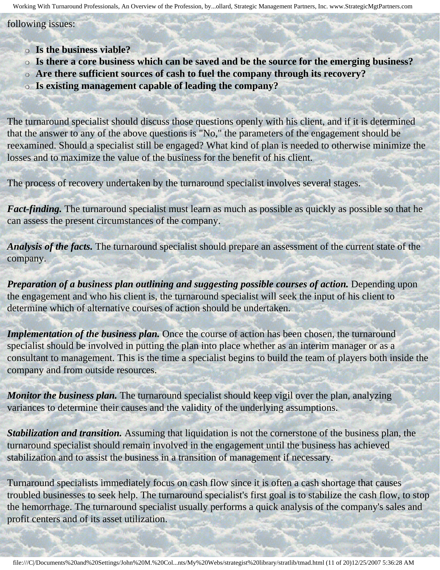#### following issues:

- ❍ **Is the business viable?**
- ❍ **Is there a core business which can be saved and be the source for the emerging business?**
- ❍ **Are there sufficient sources of cash to fuel the company through its recovery?**
- ❍ **Is existing management capable of leading the company?**

The turnaround specialist should discuss those questions openly with his client, and if it is determined that the answer to any of the above questions is "No," the parameters of the engagement should be reexamined. Should a specialist still be engaged? What kind of plan is needed to otherwise minimize the losses and to maximize the value of the business for the benefit of his client.

The process of recovery undertaken by the turnaround specialist involves several stages.

*Fact-finding.* The turnaround specialist must learn as much as possible as quickly as possible so that he can assess the present circumstances of the company.

*Analysis of the facts.* The turnaround specialist should prepare an assessment of the current state of the company.

*Preparation of a business plan outlining and suggesting possible courses of action.* Depending upon the engagement and who his client is, the turnaround specialist will seek the input of his client to determine which of alternative courses of action should be undertaken.

*Implementation of the business plan.* Once the course of action has been chosen, the turnaround specialist should be involved in putting the plan into place whether as an interim manager or as a consultant to management. This is the time a specialist begins to build the team of players both inside the company and from outside resources.

*Monitor the business plan.* The turnaround specialist should keep vigil over the plan, analyzing variances to determine their causes and the validity of the underlying assumptions.

*Stabilization and transition.* Assuming that liquidation is not the cornerstone of the business plan, the turnaround specialist should remain involved in the engagement until the business has achieved stabilization and to assist the business in a transition of management if necessary.

Turnaround specialists immediately focus on cash flow since it is often a cash shortage that causes troubled businesses to seek help. The turnaround specialist's first goal is to stabilize the cash flow, to stop the hemorrhage. The turnaround specialist usually performs a quick analysis of the company's sales and profit centers and of its asset utilization.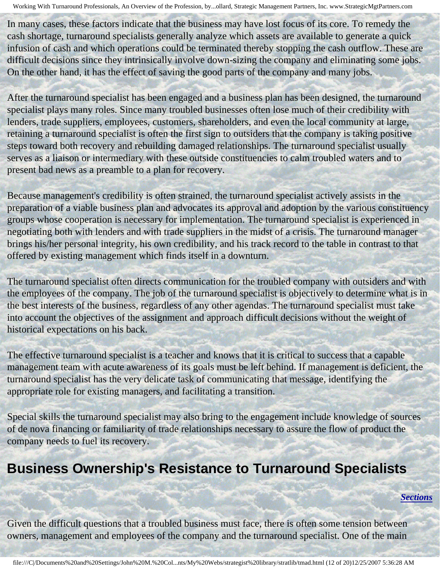In many cases, these factors indicate that the business may have lost focus of its core. To remedy the cash shortage, turnaround specialists generally analyze which assets are available to generate a quick infusion of cash and which operations could be terminated thereby stopping the cash outflow. These are difficult decisions since they intrinsically involve down-sizing the company and eliminating some jobs. On the other hand, it has the effect of saving the good parts of the company and many jobs.

After the turnaround specialist has been engaged and a business plan has been designed, the turnaround specialist plays many roles. Since many troubled businesses often lose much of their credibility with lenders, trade suppliers, employees, customers, shareholders, and even the local community at large, retaining a turnaround specialist is often the first sign to outsiders that the company is taking positive steps toward both recovery and rebuilding damaged relationships. The turnaround specialist usually serves as a liaison or intermediary with these outside constituencies to calm troubled waters and to present bad news as a preamble to a plan for recovery.

Because management's credibility is often strained, the turnaround specialist actively assists in the preparation of a viable business plan and advocates its approval and adoption by the various constituency groups whose cooperation is necessary for implementation. The turnaround specialist is experienced in negotiating both with lenders and with trade suppliers in the midst of a crisis. The turnaround manager brings his/her personal integrity, his own credibility, and his track record to the table in contrast to that offered by existing management which finds itself in a downturn.

The turnaround specialist often directs communication for the troubled company with outsiders and with the employees of the company. The job of the turnaround specialist is objectively to determine what is in the best interests of the business, regardless of any other agendas. The turnaround specialist must take into account the objectives of the assignment and approach difficult decisions without the weight of historical expectations on his back.

The effective turnaround specialist is a teacher and knows that it is critical to success that a capable management team with acute awareness of its goals must be left behind. If management is deficient, the turnaround specialist has the very delicate task of communicating that message, identifying the appropriate role for existing managers, and facilitating a transition.

Special skills the turnaround specialist may also bring to the engagement include knowledge of sources of de nova financing or familiarity of trade relationships necessary to assure the flow of product the company needs to fuel its recovery.

### <span id="page-11-0"></span>**Business Ownership's Resistance to Turnaround Specialists**

*[Sections](#page-0-2)*

Given the difficult questions that a troubled business must face, there is often some tension between owners, management and employees of the company and the turnaround specialist. One of the main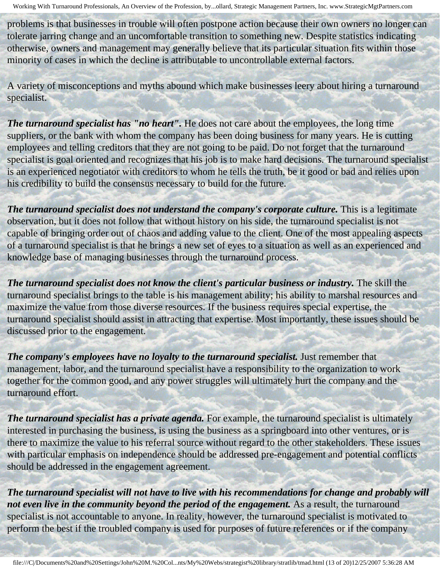problems is that businesses in trouble will often postpone action because their own owners no longer can tolerate jarring change and an uncomfortable transition to something new. Despite statistics indicating otherwise, owners and management may generally believe that its particular situation fits within those minority of cases in which the decline is attributable to uncontrollable external factors.

A variety of misconceptions and myths abound which make businesses leery about hiring a turnaround specialist.

*The turnaround specialist has "no heart"*. He does not care about the employees, the long time suppliers, or the bank with whom the company has been doing business for many years. He is cutting employees and telling creditors that they are not going to be paid. Do not forget that the turnaround specialist is goal oriented and recognizes that his job is to make hard decisions. The turnaround specialist is an experienced negotiator with creditors to whom he tells the truth, be it good or bad and relies upon his credibility to build the consensus necessary to build for the future.

*The turnaround specialist does not understand the company's corporate culture. This is a legitimate* observation, but it does not follow that without history on his side, the turnaround specialist is not capable of bringing order out of chaos and adding value to the client. One of the most appealing aspects of a turnaround specialist is that he brings a new set of eyes to a situation as well as an experienced and knowledge base of managing businesses through the turnaround process.

The turnaround specialist does not know the client's particular business or industry. The skill the turnaround specialist brings to the table is his management ability; his ability to marshal resources and maximize the value from those diverse resources. If the business requires special expertise, the turnaround specialist should assist in attracting that expertise. Most importantly, these issues should be discussed prior to the engagement.

The company's employees have no loyalty to the turnaround specialist. Just remember that management, labor, and the turnaround specialist have a responsibility to the organization to work together for the common good, and any power struggles will ultimately hurt the company and the turnaround effort.

*The turnaround specialist has a private agenda.* For example, the turnaround specialist is ultimately interested in purchasing the business, is using the business as a springboard into other ventures, or is there to maximize the value to his referral source without regard to the other stakeholders. These issues with particular emphasis on independence should be addressed pre-engagement and potential conflicts should be addressed in the engagement agreement.

*The turnaround specialist will not have to live with his recommendations for change and probably will not even live in the community beyond the period of the engagement.* As a result, the turnaround specialist is not accountable to anyone. In reality, however, the turnaround specialist is motivated to perform the best if the troubled company is used for purposes of future references or if the company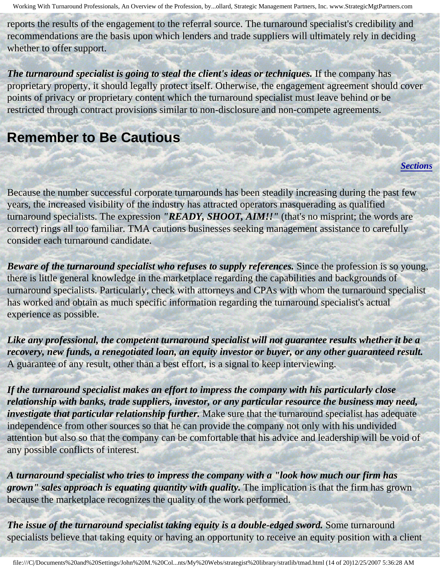reports the results of the engagement to the referral source. The turnaround specialist's credibility and recommendations are the basis upon which lenders and trade suppliers will ultimately rely in deciding whether to offer support.

The turnaround specialist is going to steal the client's ideas or techniques. If the company has proprietary property, it should legally protect itself. Otherwise, the engagement agreement should cover points of privacy or proprietary content which the turnaround specialist must leave behind or be restricted through contract provisions similar to non-disclosure and non-compete agreements.

### <span id="page-13-0"></span>**Remember to Be Cautious**

*[Sections](#page-0-2)*

Because the number successful corporate turnarounds has been steadily increasing during the past few years, the increased visibility of the industry has attracted operators masquerading as qualified turnaround specialists. The expression *"READY, SHOOT, AIM!!"* (that's no misprint; the words are correct) rings all too familiar. TMA cautions businesses seeking management assistance to carefully consider each turnaround candidate.

*Beware of the turnaround specialist who refuses to supply references. Since the profession is so young,* there is little general knowledge in the marketplace regarding the capabilities and backgrounds of turnaround specialists. Particularly, check with attorneys and CPAs with whom the turnaround specialist has worked and obtain as much specific information regarding the turnaround specialist's actual experience as possible.

*Like any professional, the competent turnaround specialist will not guarantee results whether it be a recovery, new funds, a renegotiated loan, an equity investor or buyer, or any other guaranteed result.*  A guarantee of any result, other than a best effort, is a signal to keep interviewing.

*If the turnaround specialist makes an effort to impress the company with his particularly close relationship with banks, trade suppliers, investor, or any particular resource the business may need, investigate that particular relationship further.* Make sure that the turnaround specialist has adequate independence from other sources so that he can provide the company not only with his undivided attention but also so that the company can be comfortable that his advice and leadership will be void of any possible conflicts of interest.

*A turnaround specialist who tries to impress the company with a "look how much our firm has grown" sales approach is equating quantity with quality.* The implication is that the firm has grown because the marketplace recognizes the quality of the work performed.

*The issue of the turnaround specialist taking equity is a double-edged sword.* **Some turnaround** specialists believe that taking equity or having an opportunity to receive an equity position with a client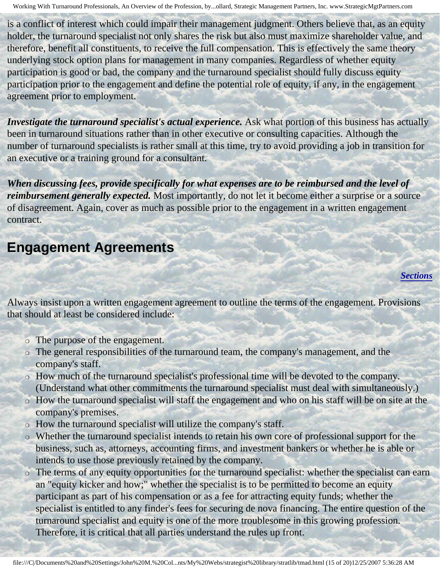is a conflict of interest which could impair their management judgment. Others believe that, as an equity holder, the turnaround specialist not only shares the risk but also must maximize shareholder value, and therefore, benefit all constituents, to receive the full compensation. This is effectively the same theory underlying stock option plans for management in many companies. Regardless of whether equity participation is good or bad, the company and the turnaround specialist should fully discuss equity participation prior to the engagement and define the potential role of equity, if any, in the engagement agreement prior to employment.

*Investigate the turnaround specialist's actual experience.* Ask what portion of this business has actually been in turnaround situations rather than in other executive or consulting capacities. Although the number of turnaround specialists is rather small at this time, try to avoid providing a job in transition for an executive or a training ground for a consultant.

*When discussing fees, provide specifically for what expenses are to be reimbursed and the level of reimbursement generally expected.* Most importantly, do not let it become either a surprise or a source of disagreement. Again, cover as much as possible prior to the engagement in a written engagement contract.

### <span id="page-14-0"></span>**Engagement Agreements**

#### *[Sections](#page-0-2)*

Always insist upon a written engagement agreement to outline the terms of the engagement. Provisions that should at least be considered include:

- The purpose of the engagement.
- ❍ The general responsibilities of the turnaround team, the company's management, and the company's staff.
- ❍ How much of the turnaround specialist's professional time will be devoted to the company. (Understand what other commitments the turnaround specialist must deal with simultaneously.)
- ❍ How the turnaround specialist will staff the engagement and who on his staff will be on site at the company's premises.
- ❍ How the turnaround specialist will utilize the company's staff.
- ❍ Whether the turnaround specialist intends to retain his own core of professional support for the business, such as, attorneys, accounting firms, and investment bankers or whether he is able or intends to use those previously retained by the company.
- ❍ The terms of any equity opportunities for the turnaround specialist: whether the specialist can earn an "equity kicker and how;" whether the specialist is to be permitted to become an equity participant as part of his compensation or as a fee for attracting equity funds; whether the specialist is entitled to any finder's fees for securing de nova financing. The entire question of the turnaround specialist and equity is one of the more troublesome in this growing profession. Therefore, it is critical that all parties understand the rules up front.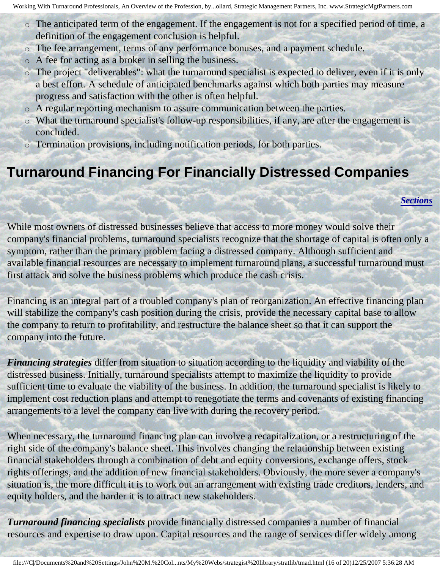- ❍ The anticipated term of the engagement. If the engagement is not for a specified period of time, a definition of the engagement conclusion is helpful.
- ❍ The fee arrangement, terms of any performance bonuses, and a payment schedule.
- ❍ A fee for acting as a broker in selling the business.
- ❍ The project "deliverables": what the turnaround specialist is expected to deliver, even if it is only a best effort. A schedule of anticipated benchmarks against which both parties may measure progress and satisfaction with the other is often helpful.
- ❍ A regular reporting mechanism to assure communication between the parties.
- ❍ What the turnaround specialist's follow-up responsibilities, if any, are after the engagement is concluded.
- ❍ Termination provisions, including notification periods, for both parties.

## <span id="page-15-0"></span>**Turnaround Financing For Financially Distressed Companies**

*[Sections](#page-0-2)*

While most owners of distressed businesses believe that access to more money would solve their company's financial problems, turnaround specialists recognize that the shortage of capital is often only a symptom, rather than the primary problem facing a distressed company. Although sufficient and available financial resources are necessary to implement turnaround plans, a successful turnaround must first attack and solve the business problems which produce the cash crisis.

Financing is an integral part of a troubled company's plan of reorganization. An effective financing plan will stabilize the company's cash position during the crisis, provide the necessary capital base to allow the company to return to profitability, and restructure the balance sheet so that it can support the company into the future.

*Financing strategies* differ from situation to situation according to the liquidity and viability of the distressed business. Initially, turnaround specialists attempt to maximize the liquidity to provide sufficient time to evaluate the viability of the business. In addition, the turnaround specialist is likely to implement cost reduction plans and attempt to renegotiate the terms and covenants of existing financing arrangements to a level the company can live with during the recovery period.

When necessary, the turnaround financing plan can involve a recapitalization, or a restructuring of the right side of the company's balance sheet. This involves changing the relationship between existing financial stakeholders through a combination of debt and equity conversions, exchange offers, stock rights offerings, and the addition of new financial stakeholders. Obviously, the more sever a company's situation is, the more difficult it is to work out an arrangement with existing trade creditors, lenders, and equity holders, and the harder it is to attract new stakeholders.

*Turnaround financing specialists* provide financially distressed companies a number of financial resources and expertise to draw upon. Capital resources and the range of services differ widely among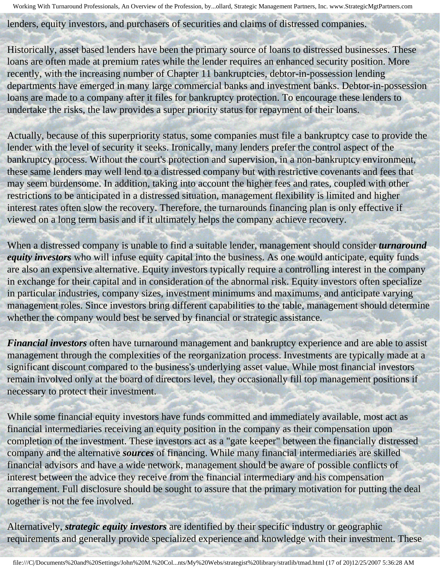lenders, equity investors, and purchasers of securities and claims of distressed companies.

Historically, asset based lenders have been the primary source of loans to distressed businesses. These loans are often made at premium rates while the lender requires an enhanced security position. More recently, with the increasing number of Chapter 11 bankruptcies, debtor-in-possession lending departments have emerged in many large commercial banks and investment banks. Debtor-in-possession loans are made to a company after it files for bankruptcy protection. To encourage these lenders to undertake the risks, the law provides a super priority status for repayment of their loans.

Actually, because of this superpriority status, some companies must file a bankruptcy case to provide the lender with the level of security it seeks. Ironically, many lenders prefer the control aspect of the bankruptcy process. Without the court's protection and supervision, in a non-bankruptcy environment, these same lenders may well lend to a distressed company but with restrictive covenants and fees that may seem burdensome. In addition, taking into account the higher fees and rates, coupled with other restrictions to be anticipated in a distressed situation, management flexibility is limited and higher interest rates often slow the recovery. Therefore, the turnarounds financing plan is only effective if viewed on a long term basis and if it ultimately helps the company achieve recovery.

When a distressed company is unable to find a suitable lender, management should consider *turnaround equity investors* who will infuse equity capital into the business. As one would anticipate, equity funds are also an expensive alternative. Equity investors typically require a controlling interest in the company in exchange for their capital and in consideration of the abnormal risk. Equity investors often specialize in particular industries, company sizes, investment minimums and maximums, and anticipate varying management roles. Since investors bring different capabilities to the table, management should determine whether the company would best be served by financial or strategic assistance.

*Financial investors* often have turnaround management and bankruptcy experience and are able to assist management through the complexities of the reorganization process. Investments are typically made at a significant discount compared to the business's underlying asset value. While most financial investors remain involved only at the board of directors level, they occasionally fill top management positions if necessary to protect their investment.

While some financial equity investors have funds committed and immediately available, most act as financial intermediaries receiving an equity position in the company as their compensation upon completion of the investment. These investors act as a "gate keeper" between the financially distressed company and the alternative *sources* of financing. While many financial intermediaries are skilled financial advisors and have a wide network, management should be aware of possible conflicts of interest between the advice they receive from the financial intermediary and his compensation arrangement. Full disclosure should be sought to assure that the primary motivation for putting the deal together is not the fee involved.

Alternatively, *strategic equity investors* are identified by their specific industry or geographic requirements and generally provide specialized experience and knowledge with their investment. These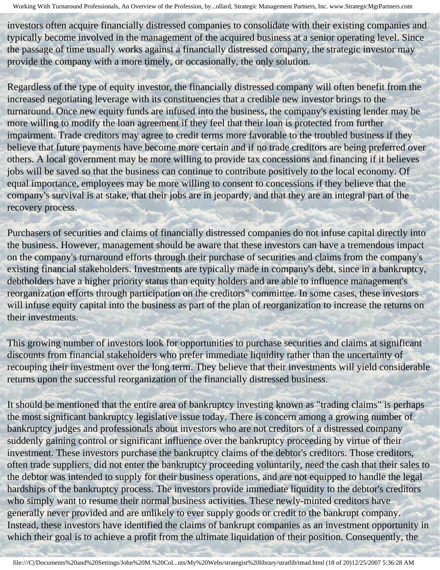investors often acquire financially distressed companies to consolidate with their existing companies and typically become involved in the management of the acquired business at a senior operating level. Since the passage of time usually works against a financially distressed company, the strategic investor may provide the company with a more timely, or occasionally, the only solution.

Regardless of the type of equity investor, the financially distressed company will often benefit from the increased negotiating leverage with its constituencies that a credible new investor brings to the turnaround. Once new equity funds are infused into the business, the company's existing lender may be more willing to modify the loan agreement if they feel that their loan is protected from further impairment. Trade creditors may agree to credit terms more favorable to the troubled business if they believe that future payments have become more certain and if no trade creditors are being preferred over others. A local government may be more willing to provide tax concessions and financing if it believes jobs will be saved so that the business can continue to contribute positively to the local economy. Of equal importance, employees may be more willing to consent to concessions if they believe that the company's survival is at stake, that their jobs are in jeopardy, and that they are an integral part of the recovery process.

Purchasers of securities and claims of financially distressed companies do not infuse capital directly into the business. However, management should be aware that these investors can have a tremendous impact on the company's turnaround efforts through their purchase of securities and claims from the company's existing financial stakeholders. Investments are typically made in company's debt, since in a bankruptcy, debtholders have a higher priority status than equity holders and are able to influence management's reorganization efforts through participation on the creditors" committee. In some cases, these investors will infuse equity capital into the business as part of the plan of reorganization to increase the returns on their investments.

This growing number of investors look for opportunities to purchase securities and claims at significant discounts from financial stakeholders who prefer immediate liquidity rather than the uncertainty of recouping their investment over the long term. They believe that their investments will yield considerable returns upon the successful reorganization of the financially distressed business.

It should be mentioned that the entire area of bankruptcy investing known as "trading claims" is perhaps the most significant bankruptcy legislative issue today. There is concern among a growing number of bankruptcy judges and professionals about investors who are not creditors of a distressed company suddenly gaining control or significant influence over the bankruptcy proceeding by virtue of their investment. These investors purchase the bankruptcy claims of the debtor's creditors. Those creditors, often trade suppliers, did not enter the bankruptcy proceeding voluntarily, need the cash that their sales to the debtor was intended to supply for their business operations, and are not equipped to handle the legal hardships of the bankruptcy process. The investors provide immediate liquidity to the debtor's creditors who simply want to resume their normal business activities. These newly-minted creditors have generally never provided and are unlikely to ever supply goods or credit to the bankrupt company. Instead, these investors have identified the claims of bankrupt companies as an investment opportunity in which their goal is to achieve a profit from the ultimate liquidation of their position. Consequently, the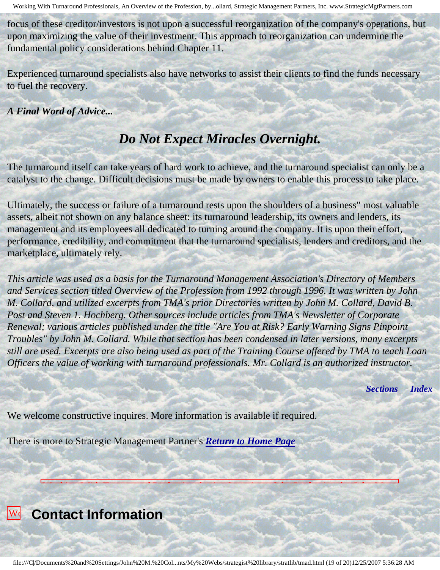focus of these creditor/investors is not upon a successful reorganization of the company's operations, but upon maximizing the value of their investment. This approach to reorganization can undermine the fundamental policy considerations behind Chapter 11.

Experienced turnaround specialists also have networks to assist their clients to find the funds necessary to fuel the recovery.

*A Final Word of Advice...*

### *Do Not Expect Miracles Overnight.*

The turnaround itself can take years of hard work to achieve, and the turnaround specialist can only be a catalyst to the change. Difficult decisions must be made by owners to enable this process to take place.

Ultimately, the success or failure of a turnaround rests upon the shoulders of a business" most valuable assets, albeit not shown on any balance sheet: its turnaround leadership, its owners and lenders, its management and its employees all dedicated to turning around the company. It is upon their effort, performance, credibility, and commitment that the turnaround specialists, lenders and creditors, and the marketplace, ultimately rely.

*This article was used as a basis for the Turnaround Management Association's Directory of Members and Services section titled Overview of the Profession from 1992 through 1996. It was written by John M. Collard, and utilized excerpts from TMA's prior Directories written by John M. Collard, David B. Post and Steven 1. Hochberg. Other sources include articles from TMA's Newsletter of Corporate Renewal; various articles published under the title "Are You at Risk? Early Warning Signs Pinpoint Troubles" by John M. Collard. While that section has been condensed in later versions, many excerpts still are used. Excerpts are also being used as part of the Training Course offered by TMA to teach Loan Officers the value of working with turnaround professionals. Mr. Collard is an authorized instructor.*

*[Sections](#page-0-2) [Index](#page-0-3)*

We welcome constructive inquires. More information is available if required.

There is more to Strategic Management Partner's *[Return to Home Page](http://members.aol.com/strategist/home.html#TOP)*

<span id="page-18-0"></span>

**Turnaround School** 

Working With Turnaround Professionals, An Overview of the Profession, by John M. Collard, Strategic Management Partners, Inc., published by Turnaround Management